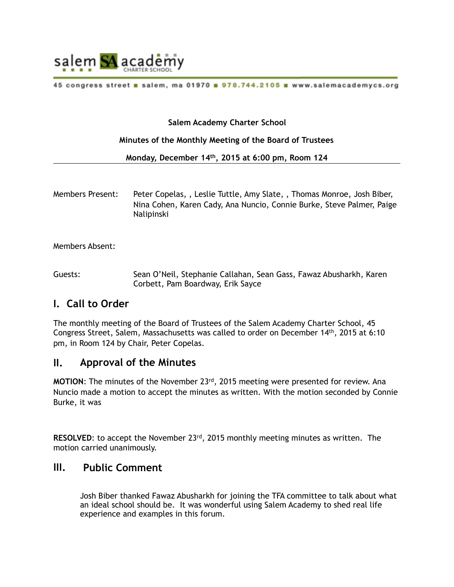

45 congress street a salem, ma 01970 a 978.744.2105 a www.salemacademycs.org

### **Salem Academy Charter School**

#### **Minutes of the Monthly Meeting of the Board of Trustees**

**Monday, December 14th, 2015 at 6:00 pm, Room 124** 

Members Present: Peter Copelas, , Leslie Tuttle, Amy Slate, , Thomas Monroe, Josh Biber, Nina Cohen, Karen Cady, Ana Nuncio, Connie Burke, Steve Palmer, Paige Nalipinski

Members Absent:

Guests: Sean O'Neil, Stephanie Callahan, Sean Gass, Fawaz Abusharkh, Karen Corbett, Pam Boardway, Erik Sayce

## **I. Call to Order**

The monthly meeting of the Board of Trustees of the Salem Academy Charter School, 45 Congress Street, Salem, Massachusetts was called to order on December 14th, 2015 at 6:10 pm, in Room 124 by Chair, Peter Copelas.

### **II. Approval of the Minutes**

**MOTION:** The minutes of the November 23<sup>rd</sup>, 2015 meeting were presented for review. Ana Nuncio made a motion to accept the minutes as written. With the motion seconded by Connie Burke, it was

**RESOLVED:** to accept the November 23<sup>rd</sup>, 2015 monthly meeting minutes as written. The motion carried unanimously.

## **III. Public Comment**

Josh Biber thanked Fawaz Abusharkh for joining the TFA committee to talk about what an ideal school should be. It was wonderful using Salem Academy to shed real life experience and examples in this forum.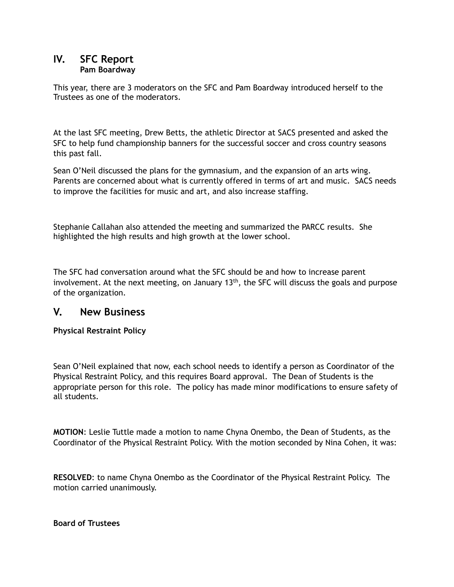### **IV. SFC Report Pam Boardway**

This year, there are 3 moderators on the SFC and Pam Boardway introduced herself to the Trustees as one of the moderators.

At the last SFC meeting, Drew Betts, the athletic Director at SACS presented and asked the SFC to help fund championship banners for the successful soccer and cross country seasons this past fall.

Sean O'Neil discussed the plans for the gymnasium, and the expansion of an arts wing. Parents are concerned about what is currently offered in terms of art and music. SACS needs to improve the facilities for music and art, and also increase staffing.

Stephanie Callahan also attended the meeting and summarized the PARCC results. She highlighted the high results and high growth at the lower school.

The SFC had conversation around what the SFC should be and how to increase parent involvement. At the next meeting, on January  $13<sup>th</sup>$ , the SFC will discuss the goals and purpose of the organization.

# **V. New Business**

**Physical Restraint Policy** 

Sean O'Neil explained that now, each school needs to identify a person as Coordinator of the Physical Restraint Policy, and this requires Board approval. The Dean of Students is the appropriate person for this role. The policy has made minor modifications to ensure safety of all students.

**MOTION**: Leslie Tuttle made a motion to name Chyna Onembo, the Dean of Students, as the Coordinator of the Physical Restraint Policy. With the motion seconded by Nina Cohen, it was:

**RESOLVED**: to name Chyna Onembo as the Coordinator of the Physical Restraint Policy. The motion carried unanimously.

**Board of Trustees**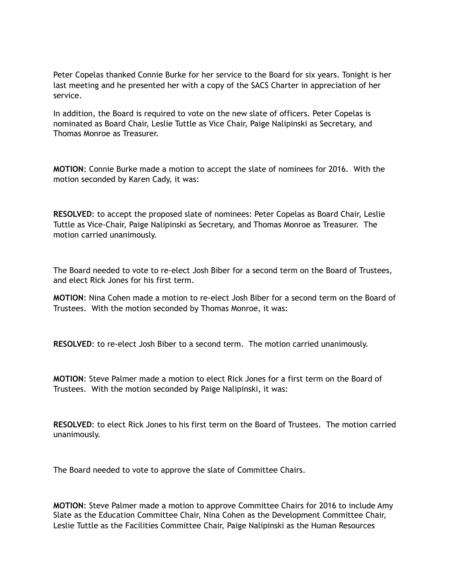Peter Copelas thanked Connie Burke for her service to the Board for six years. Tonight is her last meeting and he presented her with a copy of the SACS Charter in appreciation of her service.

In addition, the Board is required to vote on the new slate of officers. Peter Copelas is nominated as Board Chair, Leslie Tuttle as Vice Chair, Paige Nalipinski as Secretary, and Thomas Monroe as Treasurer.

**MOTION**: Connie Burke made a motion to accept the slate of nominees for 2016. With the motion seconded by Karen Cady, it was:

**RESOLVED**: to accept the proposed slate of nominees: Peter Copelas as Board Chair, Leslie Tuttle as Vice-Chair, Paige Nalipinski as Secretary, and Thomas Monroe as Treasurer. The motion carried unanimously.

The Board needed to vote to re-elect Josh Biber for a second term on the Board of Trustees, and elect Rick Jones for his first term.

**MOTION**: Nina Cohen made a motion to re-elect Josh Biber for a second term on the Board of Trustees. With the motion seconded by Thomas Monroe, it was:

**RESOLVED**: to re-elect Josh Biber to a second term. The motion carried unanimously.

**MOTION**: Steve Palmer made a motion to elect Rick Jones for a first term on the Board of Trustees. With the motion seconded by Paige Nalipinski, it was:

**RESOLVED**: to elect Rick Jones to his first term on the Board of Trustees. The motion carried unanimously.

The Board needed to vote to approve the slate of Committee Chairs.

**MOTION**: Steve Palmer made a motion to approve Committee Chairs for 2016 to include Amy Slate as the Education Committee Chair, Nina Cohen as the Development Committee Chair, Leslie Tuttle as the Facilities Committee Chair, Paige Nalipinski as the Human Resources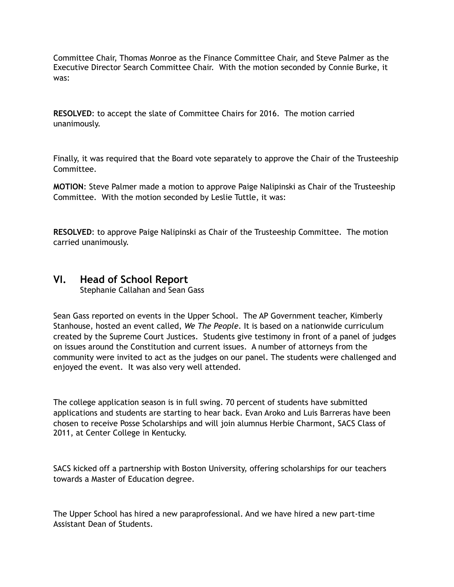Committee Chair, Thomas Monroe as the Finance Committee Chair, and Steve Palmer as the Executive Director Search Committee Chair. With the motion seconded by Connie Burke, it was:

**RESOLVED**: to accept the slate of Committee Chairs for 2016. The motion carried unanimously.

Finally, it was required that the Board vote separately to approve the Chair of the Trusteeship Committee.

**MOTION**: Steve Palmer made a motion to approve Paige Nalipinski as Chair of the Trusteeship Committee. With the motion seconded by Leslie Tuttle, it was:

**RESOLVED**: to approve Paige Nalipinski as Chair of the Trusteeship Committee. The motion carried unanimously.

## **VI. Head of School Report**

Stephanie Callahan and Sean Gass

Sean Gass reported on events in the Upper School. The AP Government teacher, Kimberly Stanhouse, hosted an event called, *We The People*. It is based on a nationwide curriculum created by the Supreme Court Justices. Students give testimony in front of a panel of judges on issues around the Constitution and current issues. A number of attorneys from the community were invited to act as the judges on our panel. The students were challenged and enjoyed the event. It was also very well attended.

The college application season is in full swing. 70 percent of students have submitted applications and students are starting to hear back. Evan Aroko and Luis Barreras have been chosen to receive Posse Scholarships and will join alumnus Herbie Charmont, SACS Class of 2011, at Center College in Kentucky.

SACS kicked off a partnership with Boston University, offering scholarships for our teachers towards a Master of Education degree.

The Upper School has hired a new paraprofessional. And we have hired a new part-time Assistant Dean of Students.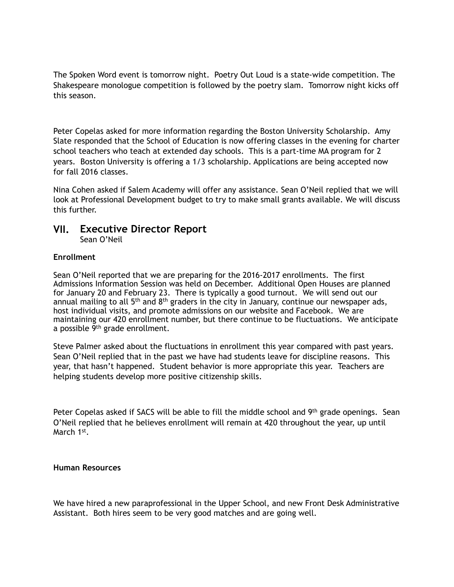The Spoken Word event is tomorrow night. Poetry Out Loud is a state-wide competition. The Shakespeare monologue competition is followed by the poetry slam. Tomorrow night kicks off this season.

Peter Copelas asked for more information regarding the Boston University Scholarship. Amy Slate responded that the School of Education is now offering classes in the evening for charter school teachers who teach at extended day schools. This is a part-time MA program for 2 years. Boston University is offering a 1/3 scholarship. Applications are being accepted now for fall 2016 classes.

Nina Cohen asked if Salem Academy will offer any assistance. Sean O'Neil replied that we will look at Professional Development budget to try to make small grants available. We will discuss this further.

### **VII. Executive Director Report**  Sean O'Neil

### **Enrollment**

Sean O'Neil reported that we are preparing for the 2016-2017 enrollments. The first Admissions Information Session was held on December. Additional Open Houses are planned for January 20 and February 23. There is typically a good turnout. We will send out our annual mailing to all  $5<sup>th</sup>$  and  $8<sup>th</sup>$  graders in the city in January, continue our newspaper ads, host individual visits, and promote admissions on our website and Facebook. We are maintaining our 420 enrollment number, but there continue to be fluctuations. We anticipate a possible 9th grade enrollment.

Steve Palmer asked about the fluctuations in enrollment this year compared with past years. Sean O'Neil replied that in the past we have had students leave for discipline reasons. This year, that hasn't happened. Student behavior is more appropriate this year. Teachers are helping students develop more positive citizenship skills.

Peter Copelas asked if SACS will be able to fill the middle school and 9<sup>th</sup> grade openings. Sean O'Neil replied that he believes enrollment will remain at 420 throughout the year, up until March 1<sup>st</sup>.

#### **Human Resources**

We have hired a new paraprofessional in the Upper School, and new Front Desk Administrative Assistant. Both hires seem to be very good matches and are going well.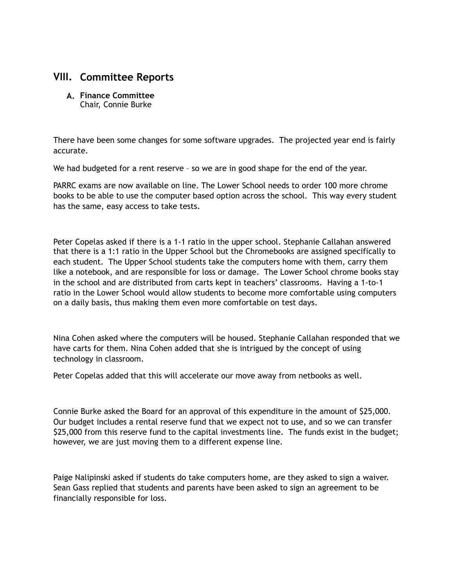## **VIII. Committee Reports**

**A. Finance Committee**  Chair, Connie Burke

There have been some changes for some software upgrades. The projected year end is fairly accurate.

We had budgeted for a rent reserve - so we are in good shape for the end of the year.

PARRC exams are now available on line. The Lower School needs to order 100 more chrome books to be able to use the computer based option across the school. This way every student has the same, easy access to take tests.

Peter Copelas asked if there is a 1-1 ratio in the upper school. Stephanie Callahan answered that there is a 1:1 ratio in the Upper School but the Chromebooks are assigned specifically to each student. The Upper School students take the computers home with them, carry them like a notebook, and are responsible for loss or damage. The Lower School chrome books stay in the school and are distributed from carts kept in teachers' classrooms. Having a 1-to-1 ratio in the Lower School would allow students to become more comfortable using computers on a daily basis, thus making them even more comfortable on test days.

Nina Cohen asked where the computers will be housed. Stephanie Callahan responded that we have carts for them. Nina Cohen added that she is intrigued by the concept of using technology in classroom.

Peter Copelas added that this will accelerate our move away from netbooks as well.

Connie Burke asked the Board for an approval of this expenditure in the amount of \$25,000. Our budget includes a rental reserve fund that we expect not to use, and so we can transfer \$25,000 from this reserve fund to the capital investments line. The funds exist in the budget; however, we are just moving them to a different expense line.

Paige Nalipinski asked if students do take computers home, are they asked to sign a waiver. Sean Gass replied that students and parents have been asked to sign an agreement to be financially responsible for loss.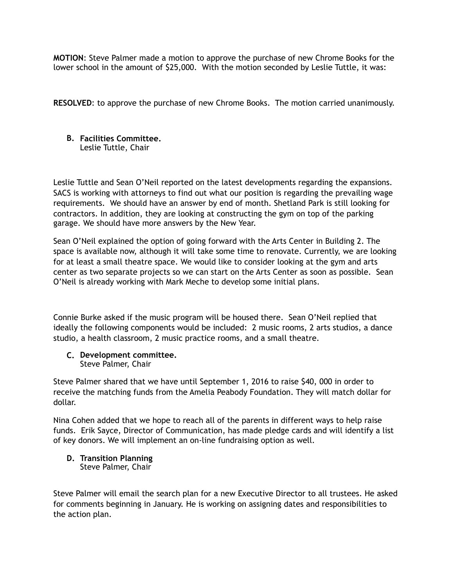**MOTION**: Steve Palmer made a motion to approve the purchase of new Chrome Books for the lower school in the amount of \$25,000. With the motion seconded by Leslie Tuttle, it was:

**RESOLVED**: to approve the purchase of new Chrome Books. The motion carried unanimously.

#### **B. Facilities Committee.**  Leslie Tuttle, Chair

Leslie Tuttle and Sean O'Neil reported on the latest developments regarding the expansions. SACS is working with attorneys to find out what our position is regarding the prevailing wage requirements. We should have an answer by end of month. Shetland Park is still looking for contractors. In addition, they are looking at constructing the gym on top of the parking garage. We should have more answers by the New Year.

Sean O'Neil explained the option of going forward with the Arts Center in Building 2. The space is available now, although it will take some time to renovate. Currently, we are looking for at least a small theatre space. We would like to consider looking at the gym and arts center as two separate projects so we can start on the Arts Center as soon as possible. Sean O'Neil is already working with Mark Meche to develop some initial plans.

Connie Burke asked if the music program will be housed there. Sean O'Neil replied that ideally the following components would be included: 2 music rooms, 2 arts studios, a dance studio, a health classroom, 2 music practice rooms, and a small theatre.

**C. Development committee.**  Steve Palmer, Chair

Steve Palmer shared that we have until September 1, 2016 to raise \$40, 000 in order to receive the matching funds from the Amelia Peabody Foundation. They will match dollar for dollar.

Nina Cohen added that we hope to reach all of the parents in different ways to help raise funds. Erik Sayce, Director of Communication, has made pledge cards and will identify a list of key donors. We will implement an on-line fundraising option as well.

#### **D. Transition Planning**  Steve Palmer, Chair

Steve Palmer will email the search plan for a new Executive Director to all trustees. He asked for comments beginning in January. He is working on assigning dates and responsibilities to the action plan.